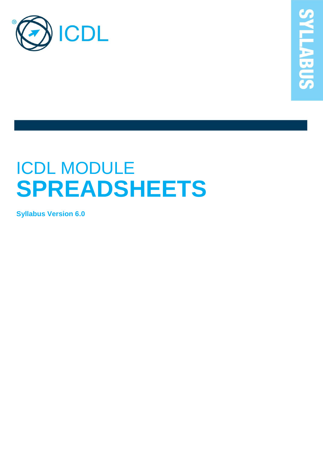

# ICDL MODULE **SPREADSHEETS**

**Syllabus Version 6.0**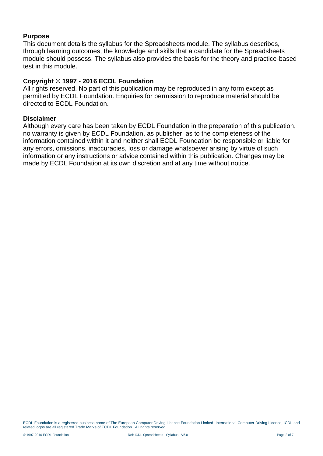#### **Purpose**

This document details the syllabus for the Spreadsheets module. The syllabus describes, through learning outcomes, the knowledge and skills that a candidate for the Spreadsheets module should possess. The syllabus also provides the basis for the theory and practice-based test in this module.

#### **Copyright © 1997 - 2016 ECDL Foundation**

All rights reserved. No part of this publication may be reproduced in any form except as permitted by ECDL Foundation. Enquiries for permission to reproduce material should be directed to ECDL Foundation.

#### **Disclaimer**

Although every care has been taken by ECDL Foundation in the preparation of this publication, no warranty is given by ECDL Foundation, as publisher, as to the completeness of the information contained within it and neither shall ECDL Foundation be responsible or liable for any errors, omissions, inaccuracies, loss or damage whatsoever arising by virtue of such information or any instructions or advice contained within this publication. Changes may be made by ECDL Foundation at its own discretion and at any time without notice.

ECDL Foundation is a registered business name of The European Computer Driving Licence Foundation Limited. International Computer Driving Licence, ICDL and related logos are all registered Trade Marks of ECDL Foundation. All rights reserved.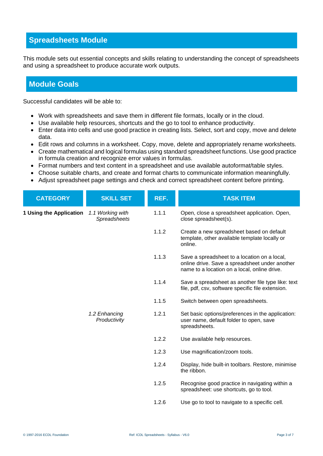## **Spreadsheets Module**

This module sets out essential concepts and skills relating to understanding the concept of spreadsheets and using a spreadsheet to produce accurate work outputs.

### **Module Goals**

Successful candidates will be able to:

- Work with spreadsheets and save them in different file formats, locally or in the cloud.
- Use available help resources, shortcuts and the go to tool to enhance productivity.
- Enter data into cells and use good practice in creating lists. Select, sort and copy, move and delete data.
- Edit rows and columns in a worksheet. Copy, move, delete and appropriately rename worksheets.
- Create mathematical and logical formulas using standard spreadsheet functions. Use good practice in formula creation and recognize error values in formulas.
- Format numbers and text content in a spreadsheet and use available autoformat/table styles.
- Choose suitable charts, and create and format charts to communicate information meaningfully.
- Adjust spreadsheet page settings and check and correct spreadsheet content before printing.

| <b>CATEGORY</b>         | <b>SKILL SET</b>                 | REF.  | <b>TASK ITEM</b>                                                                                                                               |
|-------------------------|----------------------------------|-------|------------------------------------------------------------------------------------------------------------------------------------------------|
| 1 Using the Application | 1.1 Working with<br>Spreadsheets | 1.1.1 | Open, close a spreadsheet application. Open,<br>close spreadsheet(s).                                                                          |
|                         |                                  | 1.1.2 | Create a new spreadsheet based on default<br>template, other available template locally or<br>online.                                          |
|                         |                                  | 1.1.3 | Save a spreadsheet to a location on a local,<br>online drive. Save a spreadsheet under another<br>name to a location on a local, online drive. |
|                         |                                  | 1.1.4 | Save a spreadsheet as another file type like: text<br>file, pdf, csv, software specific file extension.                                        |
|                         |                                  | 1.1.5 | Switch between open spreadsheets.                                                                                                              |
|                         | 1.2 Enhancing<br>Productivity    | 1.2.1 | Set basic options/preferences in the application:<br>user name, default folder to open, save<br>spreadsheets.                                  |
|                         |                                  | 1.2.2 | Use available help resources.                                                                                                                  |
|                         |                                  | 1.2.3 | Use magnification/zoom tools.                                                                                                                  |
|                         |                                  | 1.2.4 | Display, hide built-in toolbars. Restore, minimise<br>the ribbon.                                                                              |
|                         |                                  | 1.2.5 | Recognise good practice in navigating within a<br>spreadsheet: use shortcuts, go to tool.                                                      |
|                         |                                  | 1.2.6 | Use go to tool to navigate to a specific cell.                                                                                                 |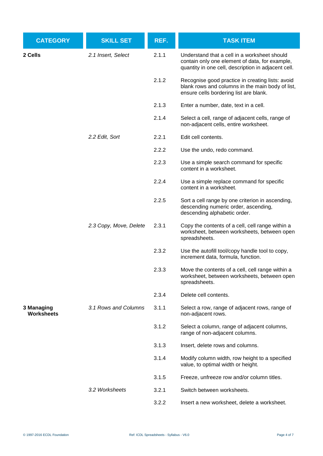| <b>CATEGORY</b>                 | <b>SKILL SET</b>       | REF.  | <b>TASK ITEM</b>                                                                                                                                      |
|---------------------------------|------------------------|-------|-------------------------------------------------------------------------------------------------------------------------------------------------------|
| 2 Cells                         | 2.1 Insert, Select     | 2.1.1 | Understand that a cell in a worksheet should<br>contain only one element of data, for example,<br>quantity in one cell, description in adjacent cell. |
|                                 |                        | 2.1.2 | Recognise good practice in creating lists: avoid<br>blank rows and columns in the main body of list,<br>ensure cells bordering list are blank.        |
|                                 |                        | 2.1.3 | Enter a number, date, text in a cell.                                                                                                                 |
|                                 |                        | 2.1.4 | Select a cell, range of adjacent cells, range of<br>non-adjacent cells, entire worksheet.                                                             |
|                                 | 2.2 Edit, Sort         | 2.2.1 | Edit cell contents.                                                                                                                                   |
|                                 |                        | 2.2.2 | Use the undo, redo command.                                                                                                                           |
|                                 |                        | 2.2.3 | Use a simple search command for specific<br>content in a worksheet.                                                                                   |
|                                 |                        | 2.2.4 | Use a simple replace command for specific<br>content in a worksheet.                                                                                  |
|                                 |                        | 2.2.5 | Sort a cell range by one criterion in ascending,<br>descending numeric order, ascending,<br>descending alphabetic order.                              |
|                                 | 2.3 Copy, Move, Delete | 2.3.1 | Copy the contents of a cell, cell range within a<br>worksheet, between worksheets, between open<br>spreadsheets.                                      |
|                                 |                        | 2.3.2 | Use the autofill tool/copy handle tool to copy,<br>increment data, formula, function.                                                                 |
|                                 |                        | 2.3.3 | Move the contents of a cell, cell range within a<br>worksheet, between worksheets, between open<br>spreadsheets.                                      |
|                                 |                        | 2.3.4 | Delete cell contents.                                                                                                                                 |
| 3 Managing<br><b>Worksheets</b> | 3.1 Rows and Columns   | 3.1.1 | Select a row, range of adjacent rows, range of<br>non-adjacent rows.                                                                                  |
|                                 |                        | 3.1.2 | Select a column, range of adjacent columns,<br>range of non-adjacent columns.                                                                         |
|                                 |                        | 3.1.3 | Insert, delete rows and columns.                                                                                                                      |
|                                 |                        | 3.1.4 | Modify column width, row height to a specified<br>value, to optimal width or height.                                                                  |
|                                 |                        | 3.1.5 | Freeze, unfreeze row and/or column titles.                                                                                                            |
|                                 | 3.2 Worksheets         | 3.2.1 | Switch between worksheets.                                                                                                                            |
|                                 |                        | 3.2.2 | Insert a new worksheet, delete a worksheet.                                                                                                           |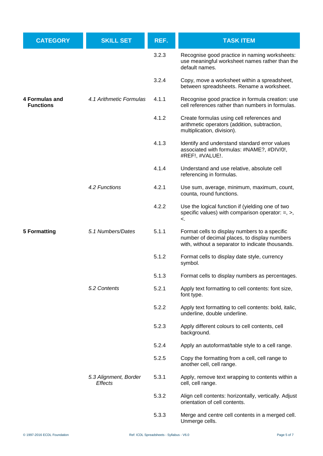| <b>CATEGORY</b>                    | <b>SKILL SET</b>                                                                              | REF.  | <b>TASK ITEM</b>                                                                                                                                  |
|------------------------------------|-----------------------------------------------------------------------------------------------|-------|---------------------------------------------------------------------------------------------------------------------------------------------------|
|                                    | 4.1 Arithmetic Formulas                                                                       | 3.2.3 | Recognise good practice in naming worksheets:<br>use meaningful worksheet names rather than the<br>default names.                                 |
|                                    |                                                                                               | 3.2.4 | Copy, move a worksheet within a spreadsheet,<br>between spreadsheets. Rename a worksheet.                                                         |
| 4 Formulas and<br><b>Functions</b> |                                                                                               | 4.1.1 | Recognise good practice in formula creation: use<br>cell references rather than numbers in formulas.                                              |
|                                    |                                                                                               | 4.1.2 | Create formulas using cell references and<br>arithmetic operators (addition, subtraction,<br>multiplication, division).                           |
|                                    |                                                                                               | 4.1.3 | Identify and understand standard error values<br>associated with formulas: #NAME?, #DIV/0!,<br>#REF!, #VALUE!.                                    |
|                                    |                                                                                               | 4.1.4 | Understand and use relative, absolute cell<br>referencing in formulas.                                                                            |
|                                    | 4.2 Functions<br>5.1 Numbers/Dates<br>5.2 Contents<br>5.3 Alignment, Border<br><b>Effects</b> | 4.2.1 | Use sum, average, minimum, maximum, count,<br>counta, round functions.                                                                            |
|                                    |                                                                                               | 4.2.2 | Use the logical function if (yielding one of two<br>specific values) with comparison operator: $=$ , $>$ ,<br>≺.                                  |
| <b>5 Formatting</b>                |                                                                                               | 5.1.1 | Format cells to display numbers to a specific<br>number of decimal places, to display numbers<br>with, without a separator to indicate thousands. |
|                                    |                                                                                               | 5.1.2 | Format cells to display date style, currency<br>symbol.                                                                                           |
|                                    |                                                                                               | 5.1.3 | Format cells to display numbers as percentages.                                                                                                   |
|                                    |                                                                                               | 5.2.1 | Apply text formatting to cell contents: font size,<br>font type.                                                                                  |
|                                    |                                                                                               | 5.2.2 | Apply text formatting to cell contents: bold, italic,<br>underline, double underline.                                                             |
|                                    |                                                                                               | 5.2.3 | Apply different colours to cell contents, cell<br>background.                                                                                     |
|                                    |                                                                                               | 5.2.4 | Apply an autoformat/table style to a cell range.                                                                                                  |
|                                    |                                                                                               | 5.2.5 | Copy the formatting from a cell, cell range to<br>another cell, cell range.                                                                       |
|                                    |                                                                                               | 5.3.1 | Apply, remove text wrapping to contents within a<br>cell, cell range.                                                                             |
|                                    |                                                                                               | 5.3.2 | Align cell contents: horizontally, vertically. Adjust<br>orientation of cell contents.                                                            |
|                                    |                                                                                               | 5.3.3 | Merge and centre cell contents in a merged cell.<br>Unmerge cells.                                                                                |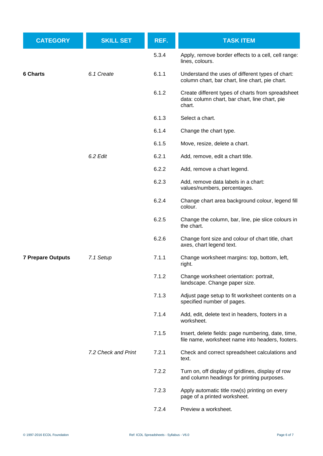| <b>CATEGORY</b>          | <b>SKILL SET</b>    | REF.  | <b>TASK ITEM</b>                                                                                              |
|--------------------------|---------------------|-------|---------------------------------------------------------------------------------------------------------------|
|                          |                     | 5.3.4 | Apply, remove border effects to a cell, cell range:<br>lines, colours.                                        |
| 6 Charts                 | 6.1 Create          | 6.1.1 | Understand the uses of different types of chart:<br>column chart, bar chart, line chart, pie chart.           |
|                          |                     | 6.1.2 | Create different types of charts from spreadsheet<br>data: column chart, bar chart, line chart, pie<br>chart. |
|                          |                     | 6.1.3 | Select a chart.                                                                                               |
|                          |                     | 6.1.4 | Change the chart type.                                                                                        |
|                          |                     | 6.1.5 | Move, resize, delete a chart.                                                                                 |
|                          | 6.2 Edit            | 6.2.1 | Add, remove, edit a chart title.                                                                              |
|                          |                     | 6.2.2 | Add, remove a chart legend.                                                                                   |
|                          |                     | 6.2.3 | Add, remove data labels in a chart:<br>values/numbers, percentages.                                           |
|                          |                     | 6.2.4 | Change chart area background colour, legend fill<br>colour.                                                   |
|                          |                     | 6.2.5 | Change the column, bar, line, pie slice colours in<br>the chart.                                              |
|                          |                     | 6.2.6 | Change font size and colour of chart title, chart<br>axes, chart legend text.                                 |
| <b>7 Prepare Outputs</b> | 7.1 Setup           | 7.1.1 | Change worksheet margins: top, bottom, left,<br>right.                                                        |
|                          |                     | 7.1.2 | Change worksheet orientation: portrait,<br>landscape. Change paper size.                                      |
|                          |                     | 7.1.3 | Adjust page setup to fit worksheet contents on a<br>specified number of pages.                                |
|                          |                     | 7.1.4 | Add, edit, delete text in headers, footers in a<br>worksheet.                                                 |
|                          |                     | 7.1.5 | Insert, delete fields: page numbering, date, time,<br>file name, worksheet name into headers, footers.        |
|                          | 7.2 Check and Print | 7.2.1 | Check and correct spreadsheet calculations and<br>text.                                                       |
|                          |                     | 7.2.2 | Turn on, off display of gridlines, display of row<br>and column headings for printing purposes.               |
|                          |                     | 7.2.3 | Apply automatic title row(s) printing on every<br>page of a printed worksheet.                                |
|                          |                     | 7.2.4 | Preview a worksheet.                                                                                          |